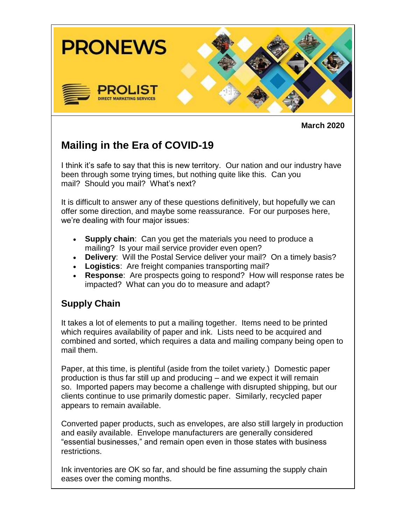

**March 2020**

# **Mailing in the Era of COVID-19**

I think it's safe to say that this is new territory. Our nation and our industry have been through some trying times, but nothing quite like this. Can you mail? Should you mail? What's next?

It is difficult to answer any of these questions definitively, but hopefully we can offer some direction, and maybe some reassurance. For our purposes here, we're dealing with four major issues:

- **Supply chain**: Can you get the materials you need to produce a mailing? Is your mail service provider even open?
- **Delivery**: Will the Postal Service deliver your mail? On a timely basis?
- **Logistics**: Are freight companies transporting mail?
- **Response**: Are prospects going to respond? How will response rates be impacted? What can you do to measure and adapt?

# **Supply Chain**

It takes a lot of elements to put a mailing together. Items need to be printed which requires availability of paper and ink. Lists need to be acquired and combined and sorted, which requires a data and mailing company being open to mail them.

Paper, at this time, is plentiful (aside from the toilet variety.) Domestic paper production is thus far still up and producing – and we expect it will remain so. Imported papers may become a challenge with disrupted shipping, but our clients continue to use primarily domestic paper. Similarly, recycled paper appears to remain available.

Converted paper products, such as envelopes, are also still largely in production and easily available. Envelope manufacturers are generally considered "essential businesses," and remain open even in those states with business restrictions.

Ink inventories are OK so far, and should be fine assuming the supply chain eases over the coming months.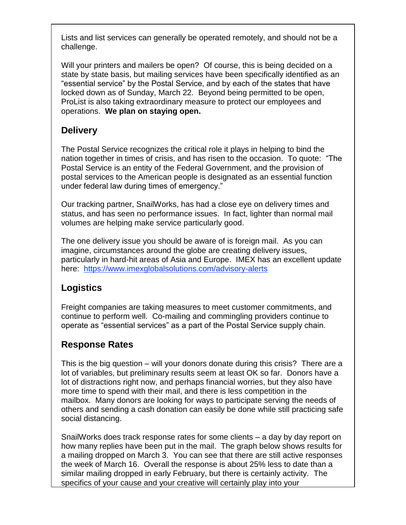Lists and list services can generally be operated remotely, and should not be a challenge.

Will your printers and mailers be open? Of course, this is being decided on a state by state basis, but mailing services have been specifically identified as an "essential service" by the Postal Service, and by each of the states that have locked down as of Sunday, March 22. Beyond being permitted to be open, ProList is also taking extraordinary measure to protect our employees and operations. **We plan on staying open.**

# **Delivery**

The Postal Service recognizes the critical role it plays in helping to bind the nation together in times of crisis, and has risen to the occasion. To quote: "The Postal Service is an entity of the Federal Government, and the provision of postal services to the American people is designated as an essential function under federal law during times of emergency."

Our tracking partner, SnailWorks, has had a close eye on delivery times and status, and has seen no performance issues. In fact, lighter than normal mail volumes are helping make service particularly good.

The one delivery issue you should be aware of is foreign mail. As you can imagine, circumstances around the globe are creating delivery issues, particularly in hard-hit areas of Asia and Europe. IMEX has an excellent update here: [https://www.imexglobalsolutions.com/advisory-alerts](https://75bhsctm.r.us-east-1.awstrack.me/L0/https:%2F%2Fwww.imexglobalsolutions.com%2Fadvisory-alerts/1/0100017108cbe2f4-e1e36b06-dcb6-4291-872d-cab814018721-000000/IRiyO2V9QcOf_98lppeZDrh_Fek=154)

# **Logistics**

Freight companies are taking measures to meet customer commitments, and continue to perform well. Co-mailing and commingling providers continue to operate as "essential services" as a part of the Postal Service supply chain.

# **Response Rates**

This is the big question – will your donors donate during this crisis? There are a lot of variables, but preliminary results seem at least OK so far. Donors have a lot of distractions right now, and perhaps financial worries, but they also have more time to spend with their mail, and there is less competition in the mailbox. Many donors are looking for ways to participate serving the needs of others and sending a cash donation can easily be done while still practicing safe social distancing.

SnailWorks does track response rates for some clients – a day by day report on how many replies have been put in the mail. The graph below shows results for a mailing dropped on March 3. You can see that there are still active responses the week of March 16. Overall the response is about 25% less to date than a similar mailing dropped in early February, but there is certainly activity. The specifics of your cause and your creative will certainly play into your